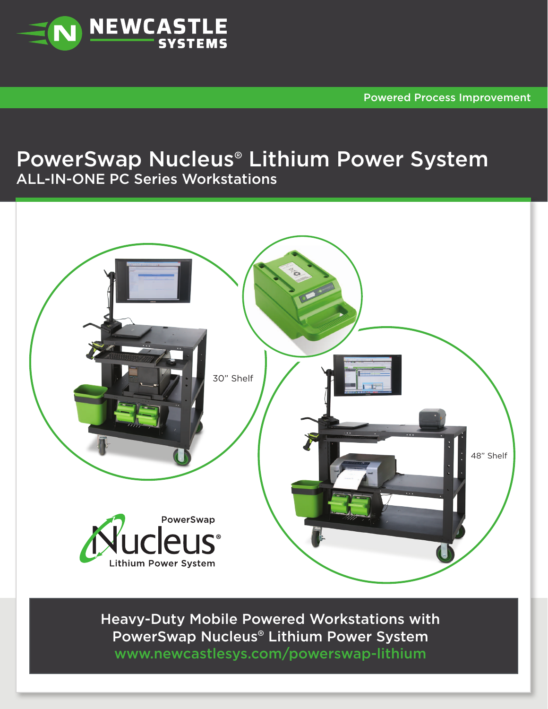

Powered Process Improvement

## PowerSwap Nucleus® Lithium Power System ALL-IN-ONE PC Series Workstations



Heavy-Duty Mobile Powered Workstations with PowerSwap Nucleus® Lithium Power System [www.newcastlesys.com/powerswap-lithium](http://www.newcastlesys.com/powerswap-lithium)